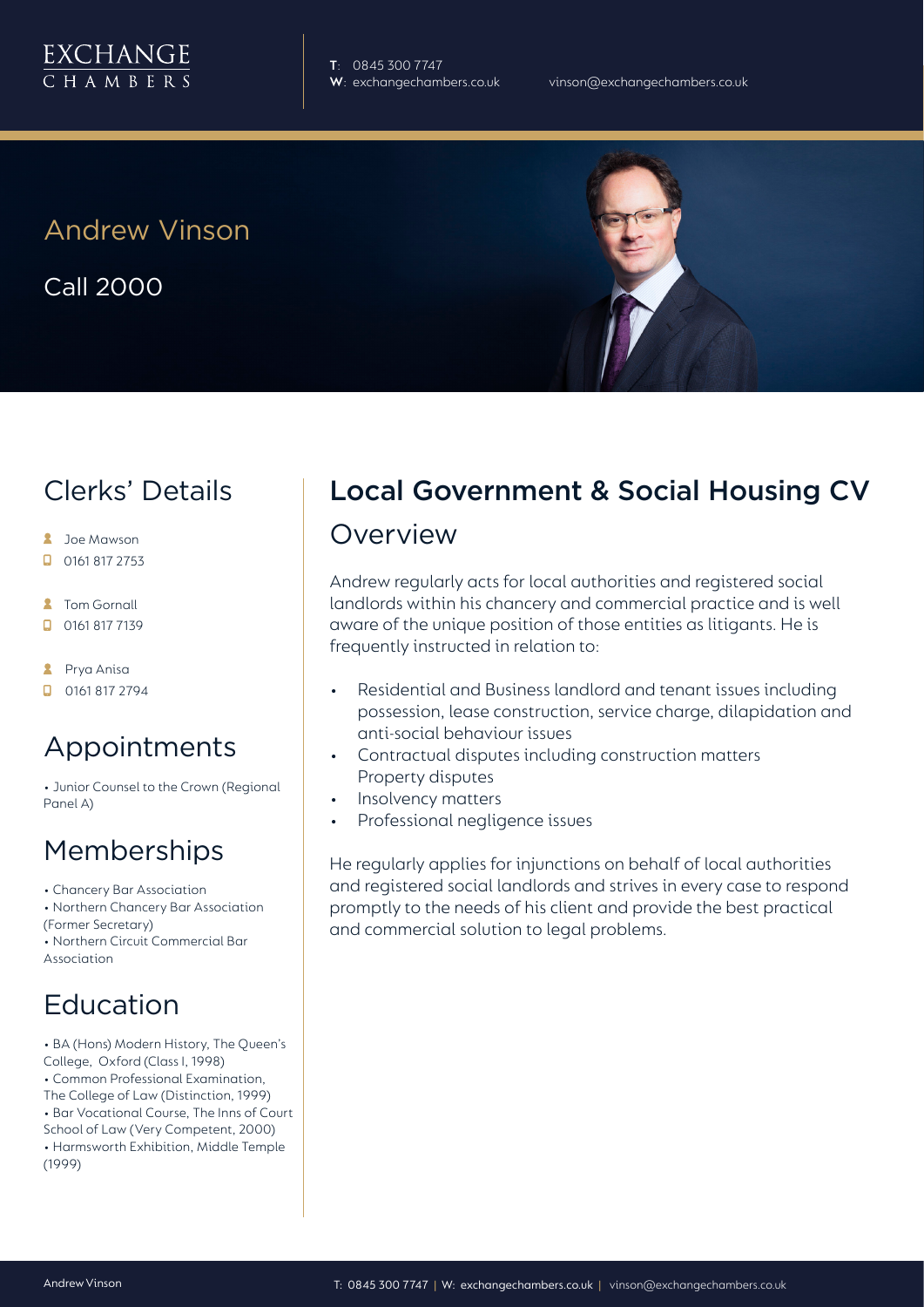

**T**: 0845 300 7747

## Andrew Vinson

Call 2000

### Clerks' Details

- **A** Joe Mawson
- $\Box$  0161 817 2753
- **A** Tom Gornall
- 0161 817 7139
- **A** Prya Anisa
- $\Box$  0161 817 2794

#### Appointments

• Junior Counsel to the Crown (Regional Panel A)

### Memberships

• Chancery Bar Association

- Northern Chancery Bar Association (Former Secretary)
- Northern Circuit Commercial Bar Association

### **Education**

- BA (Hons) Modern History, The Queen's College, Oxford (Class I, 1998)
- Common Professional Examination,
- The College of Law (Distinction, 1999)
- Bar Vocational Course, The Inns of Court School of Law (Very Competent, 2000)
- Harmsworth Exhibition, Middle Temple (1999)

# Local Government & Social Housing CV

#### Overview

Andrew regularly acts for local authorities and registered social landlords within his chancery and commercial practice and is well aware of the unique position of those entities as litigants. He is frequently instructed in relation to:

- Residential and Business landlord and tenant issues including possession, lease construction, service charge, dilapidation and anti-social behaviour issues
- Contractual disputes including construction matters Property disputes
- Insolvency matters
- Professional negligence issues

He regularly applies for injunctions on behalf of local authorities and registered social landlords and strives in every case to respond promptly to the needs of his client and provide the best practical and commercial solution to legal problems.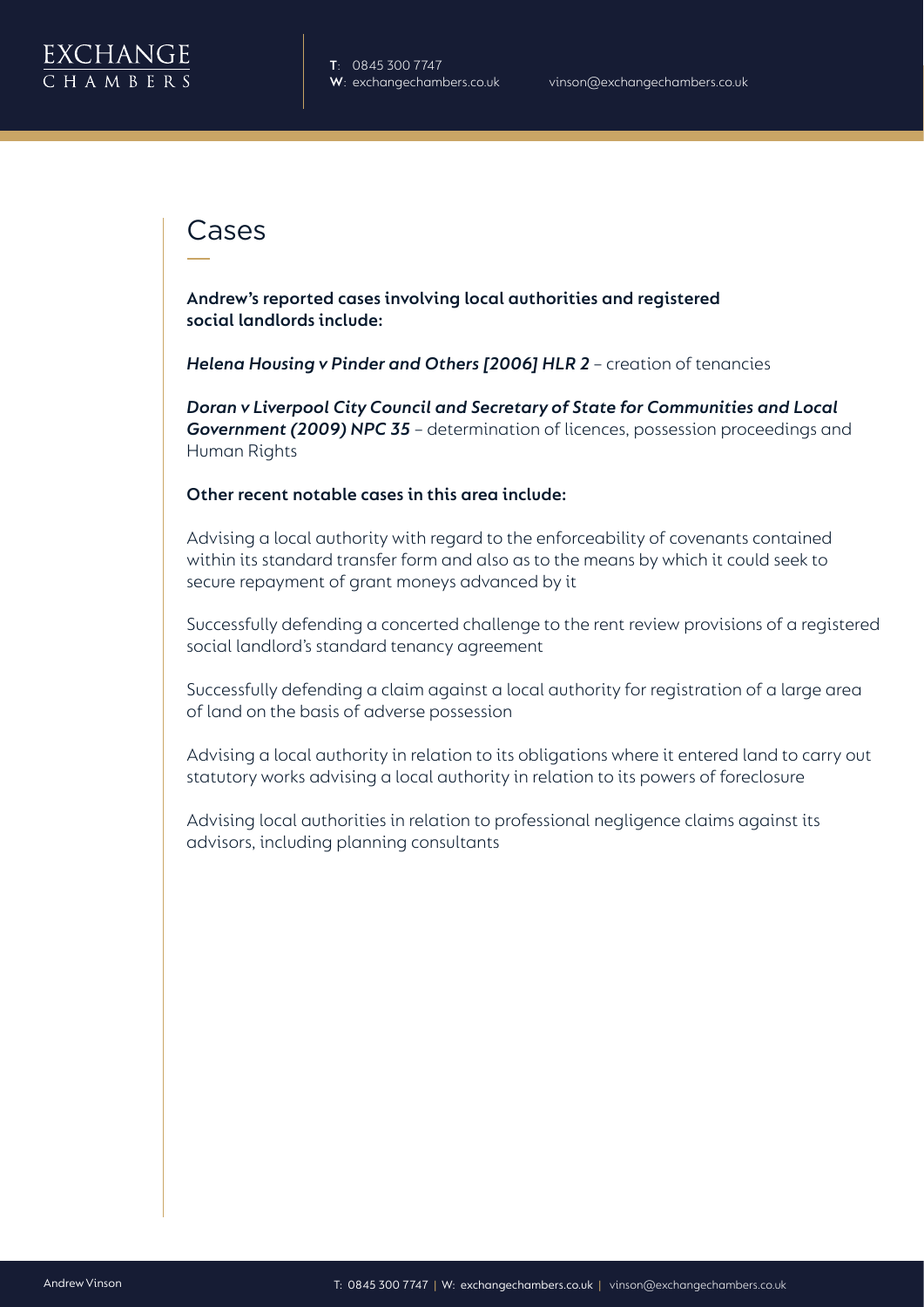

#### Cases

**Andrew's reported cases involving local authorities and registered social landlords include:**

*Helena Housing v Pinder and Others [2006] HLR 2* – creation of tenancies

*Doran v Liverpool City Council and Secretary of State for Communities and Local Government (2009) NPC 35* – determination of licences, possession proceedings and Human Rights

#### **Other recent notable cases in this area include:**

Advising a local authority with regard to the enforceability of covenants contained within its standard transfer form and also as to the means by which it could seek to secure repayment of grant moneys advanced by it

Successfully defending a concerted challenge to the rent review provisions of a registered social landlord's standard tenancy agreement

Successfully defending a claim against a local authority for registration of a large area of land on the basis of adverse possession

Advising a local authority in relation to its obligations where it entered land to carry out statutory works advising a local authority in relation to its powers of foreclosure

Advising local authorities in relation to professional negligence claims against its advisors, including planning consultants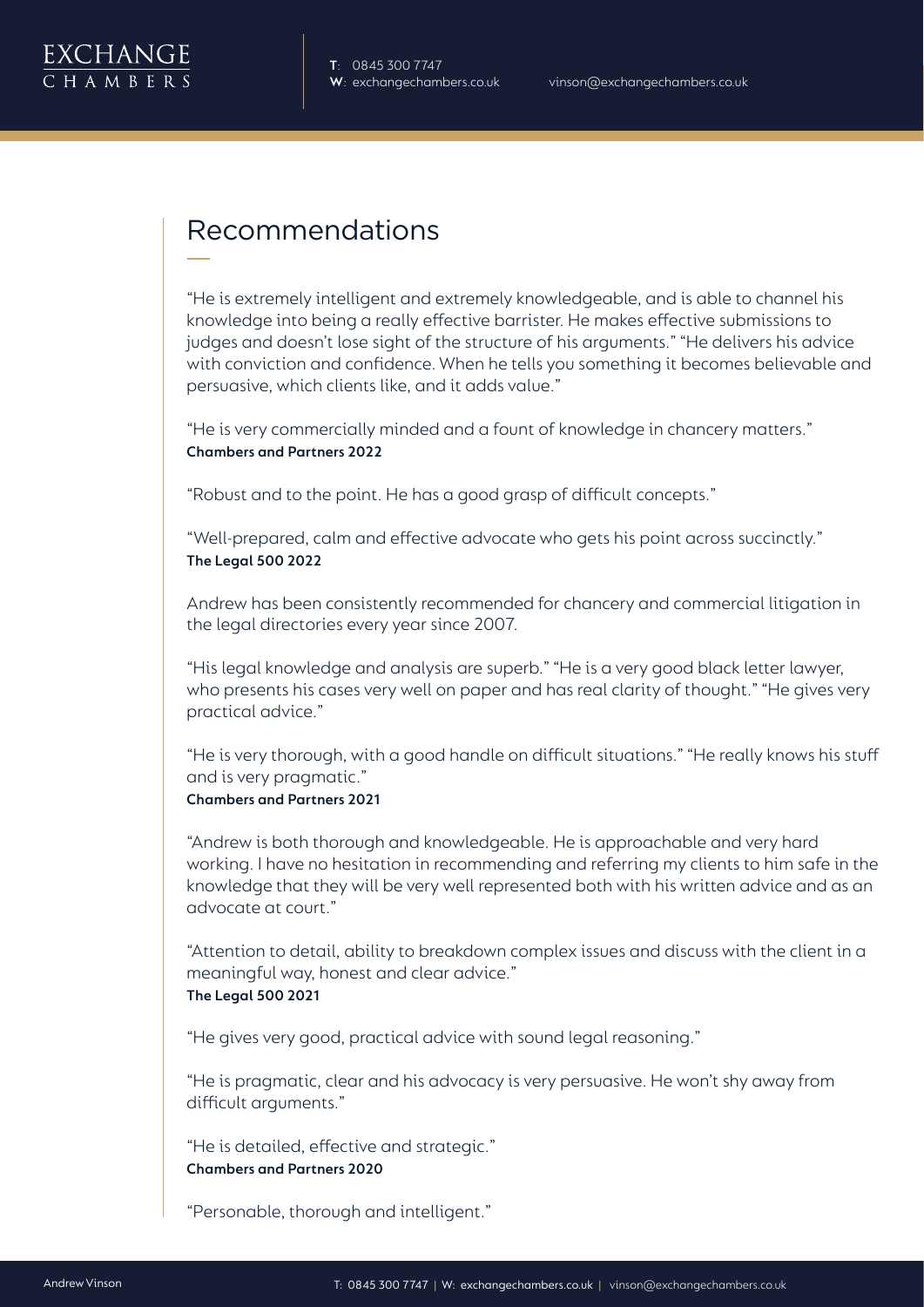

### Recommendations

"He is extremely intelligent and extremely knowledgeable, and is able to channel his knowledge into being a really effective barrister. He makes effective submissions to judges and doesn't lose sight of the structure of his arguments." "He delivers his advice with conviction and confidence.When he tells you something it becomes believable and persuasive, which clients like, and it adds value."

"He is very commercially minded and a fount of knowledge in chancery matters." **Chambers and Partners 2022**

"Robust and to the point. He has a good grasp of difficult concepts."

"Well-prepared, calm and effective advocate who gets his point across succinctly." **The Legal 500 2022**

Andrew has been consistently recommended for chancery and commercial litigation in the legal directories every year since 2007.

"His legal knowledge and analysis are superb.""He is a very good black letter lawyer, who presents his cases very well on paper and has real clarity of thought." "He gives very practical advice."

"He is very thorough, with a good handle on difficult situations.""He really knows his stuff and is very pragmatic."

#### **Chambers and Partners 2021**

"Andrew is both thorough and knowledgeable. He is approachable and very hard working. I have no hesitation in recommending and referring my clients to him safe in the knowledge that they will be very well represented both with his written advice and as an advocate at court."

"Attention to detail, ability to breakdown complex issues and discuss with the client in a meaningful way, honest and clear advice." **The Legal 500 2021**

"He gives very good, practical advice with sound legal reasoning."

"He is pragmatic, clear and his advocacy is very persuasive. He won't shy away from difficult arguments."

"He is detailed, effective and strategic." **Chambers and Partners 2020**

"Personable, thorough and intelligent."